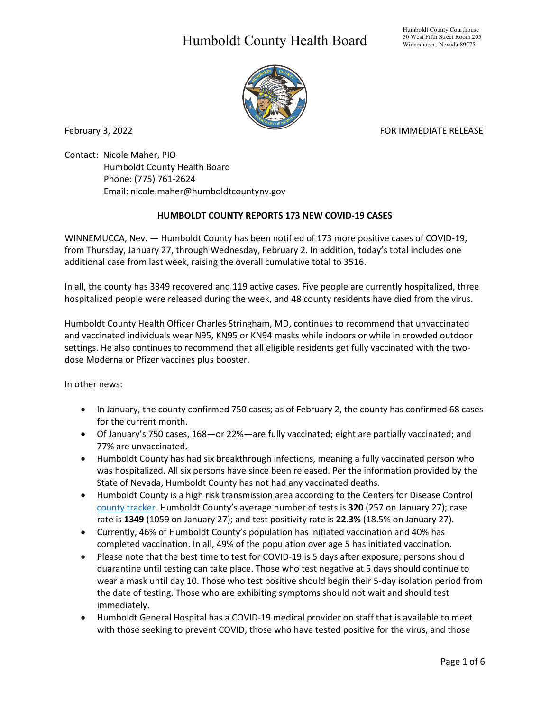## Humboldt County Health Board



February 3, 2022 **FOR IMMEDIATE RELEASE** 

Contact: Nicole Maher, PIO Humboldt County Health Board Phone: (775) 761-2624 Email: nicole.maher@humboldtcountynv.gov

## **HUMBOLDT COUNTY REPORTS 173 NEW COVID-19 CASES**

WINNEMUCCA, Nev. — Humboldt County has been notified of 173 more positive cases of COVID-19, from Thursday, January 27, through Wednesday, February 2. In addition, today's total includes one additional case from last week, raising the overall cumulative total to 3516.

In all, the county has 3349 recovered and 119 active cases. Five people are currently hospitalized, three hospitalized people were released during the week, and 48 county residents have died from the virus.

Humboldt County Health Officer Charles Stringham, MD, continues to recommend that unvaccinated and vaccinated individuals wear N95, KN95 or KN94 masks while indoors or while in crowded outdoor settings. He also continues to recommend that all eligible residents get fully vaccinated with the twodose Moderna or Pfizer vaccines plus booster.

In other news:

- In January, the county confirmed 750 cases; as of February 2, the county has confirmed 68 cases for the current month.
- Of January's 750 cases, 168—or 22%—are fully vaccinated; eight are partially vaccinated; and 77% are unvaccinated.
- Humboldt County has had six breakthrough infections, meaning a fully vaccinated person who was hospitalized. All six persons have since been released. Per the information provided by the State of Nevada, Humboldt County has not had any vaccinated deaths.
- Humboldt County is a high risk transmission area according to the Centers for Disease Control [county tracker.](https://nvhealthresponse.nv.gov/current-status-mitigation-measures/) Humboldt County's average number of tests is **320** (257 on January 27); case rate is **1349** (1059 on January 27); and test positivity rate is **22.3%** (18.5% on January 27).
- Currently, 46% of Humboldt County's population has initiated vaccination and 40% has completed vaccination. In all, 49% of the population over age 5 has initiated vaccination.
- Please note that the best time to test for COVID-19 is 5 days after exposure; persons should quarantine until testing can take place. Those who test negative at 5 days should continue to wear a mask until day 10. Those who test positive should begin their 5-day isolation period from the date of testing. Those who are exhibiting symptoms should not wait and should test immediately.
- Humboldt General Hospital has a COVID-19 medical provider on staff that is available to meet with those seeking to prevent COVID, those who have tested positive for the virus, and those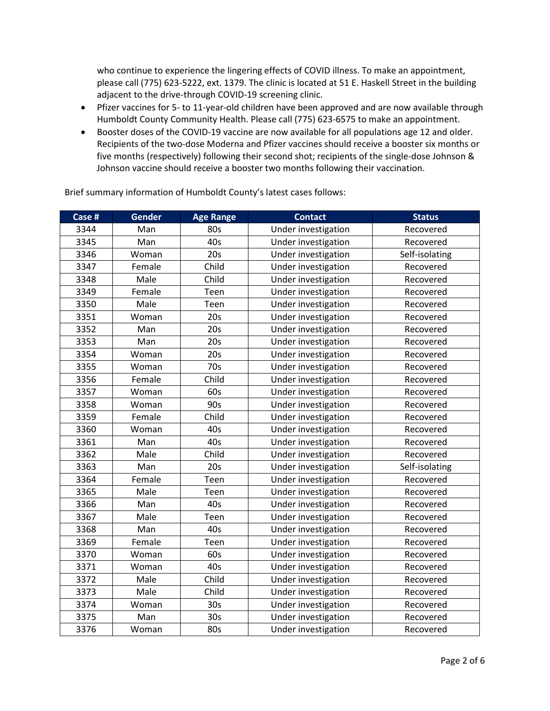who continue to experience the lingering effects of COVID illness. To make an appointment, please call (775) 623-5222, ext. 1379. The clinic is located at 51 E. Haskell Street in the building adjacent to the drive-through COVID-19 screening clinic.

- Pfizer vaccines for 5- to 11-year-old children have been approved and are now available through Humboldt County Community Health. Please call (775) 623-6575 to make an appointment.
- Booster doses of the COVID-19 vaccine are now available for all populations age 12 and older. Recipients of the two-dose Moderna and Pfizer vaccines should receive a booster six months or five months (respectively) following their second shot; recipients of the single-dose Johnson & Johnson vaccine should receive a booster two months following their vaccination.

| Case # | <b>Gender</b> | <b>Age Range</b> | <b>Contact</b>      | <b>Status</b>  |
|--------|---------------|------------------|---------------------|----------------|
| 3344   | Man           | 80s              | Under investigation | Recovered      |
| 3345   | Man           | 40s              | Under investigation | Recovered      |
| 3346   | Woman         | 20s              | Under investigation | Self-isolating |
| 3347   | Female        | Child            | Under investigation | Recovered      |
| 3348   | Male          | Child            | Under investigation | Recovered      |
| 3349   | Female        | Teen             | Under investigation | Recovered      |
| 3350   | Male          | Teen             | Under investigation | Recovered      |
| 3351   | Woman         | 20s              | Under investigation | Recovered      |
| 3352   | Man           | 20s              | Under investigation | Recovered      |
| 3353   | Man           | 20s              | Under investigation | Recovered      |
| 3354   | Woman         | 20s              | Under investigation | Recovered      |
| 3355   | Woman         | 70s              | Under investigation | Recovered      |
| 3356   | Female        | Child            | Under investigation | Recovered      |
| 3357   | Woman         | 60s              | Under investigation | Recovered      |
| 3358   | Woman         | 90s              | Under investigation | Recovered      |
| 3359   | Female        | Child            | Under investigation | Recovered      |
| 3360   | Woman         | 40s              | Under investigation | Recovered      |
| 3361   | Man           | 40s              | Under investigation | Recovered      |
| 3362   | Male          | Child            | Under investigation | Recovered      |
| 3363   | Man           | 20s              | Under investigation | Self-isolating |
| 3364   | Female        | Teen             | Under investigation | Recovered      |
| 3365   | Male          | Teen             | Under investigation | Recovered      |
| 3366   | Man           | 40s              | Under investigation | Recovered      |
| 3367   | Male          | Teen             | Under investigation | Recovered      |
| 3368   | Man           | 40s              | Under investigation | Recovered      |
| 3369   | Female        | Teen             | Under investigation | Recovered      |
| 3370   | Woman         | 60s              | Under investigation | Recovered      |
| 3371   | Woman         | 40s              | Under investigation | Recovered      |
| 3372   | Male          | Child            | Under investigation | Recovered      |
| 3373   | Male          | Child            | Under investigation | Recovered      |
| 3374   | Woman         | 30 <sub>s</sub>  | Under investigation | Recovered      |
| 3375   | Man           | 30 <sub>s</sub>  | Under investigation | Recovered      |
| 3376   | Woman         | 80s              | Under investigation | Recovered      |

Brief summary information of Humboldt County's latest cases follows: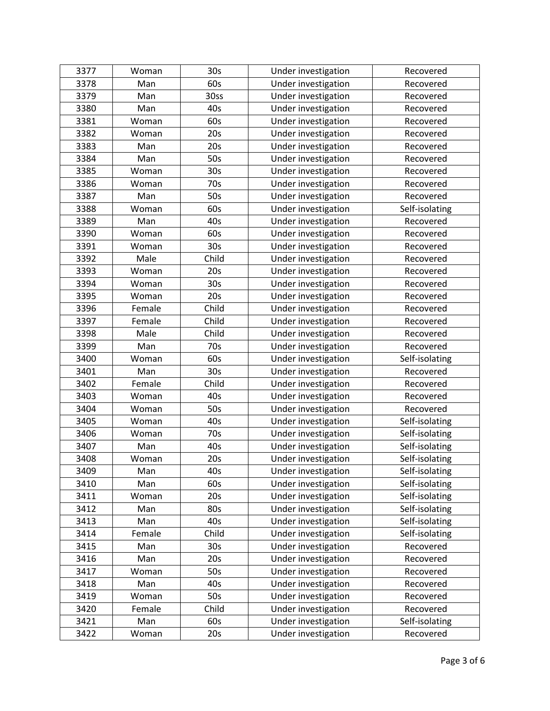| 3377 | Woman  | 30 <sub>s</sub> | Under investigation | Recovered      |
|------|--------|-----------------|---------------------|----------------|
| 3378 | Man    | 60s             | Under investigation | Recovered      |
| 3379 | Man    | 30ss            | Under investigation | Recovered      |
| 3380 | Man    | 40s             | Under investigation | Recovered      |
| 3381 | Woman  | 60s             | Under investigation | Recovered      |
| 3382 | Woman  | 20s             | Under investigation | Recovered      |
| 3383 | Man    | 20s             | Under investigation | Recovered      |
| 3384 | Man    | 50s             | Under investigation | Recovered      |
| 3385 | Woman  | 30s             | Under investigation | Recovered      |
| 3386 | Woman  | 70s             | Under investigation | Recovered      |
| 3387 | Man    | 50s             | Under investigation | Recovered      |
| 3388 | Woman  | 60s             | Under investigation | Self-isolating |
| 3389 | Man    | 40s             | Under investigation | Recovered      |
| 3390 | Woman  | 60s             | Under investigation | Recovered      |
| 3391 | Woman  | 30 <sub>s</sub> | Under investigation | Recovered      |
| 3392 | Male   | Child           | Under investigation | Recovered      |
| 3393 | Woman  | 20s             | Under investigation | Recovered      |
| 3394 | Woman  | 30 <sub>s</sub> | Under investigation | Recovered      |
| 3395 | Woman  | 20s             | Under investigation | Recovered      |
| 3396 | Female | Child           | Under investigation | Recovered      |
| 3397 | Female | Child           | Under investigation | Recovered      |
| 3398 | Male   | Child           | Under investigation | Recovered      |
| 3399 | Man    | 70s             | Under investigation | Recovered      |
| 3400 | Woman  | 60s             | Under investigation | Self-isolating |
| 3401 | Man    | 30s             | Under investigation | Recovered      |
| 3402 | Female | Child           | Under investigation | Recovered      |
| 3403 | Woman  | 40s             | Under investigation | Recovered      |
| 3404 | Woman  | 50s             | Under investigation | Recovered      |
| 3405 | Woman  | 40s             | Under investigation | Self-isolating |
| 3406 | Woman  | 70s             | Under investigation | Self-isolating |
| 3407 | Man    | 40s             | Under investigation | Self-isolating |
| 3408 | Woman  | 20s             | Under investigation | Self-isolating |
| 3409 | Man    | 40s             | Under investigation | Self-isolating |
| 3410 | Man    | 60s             | Under investigation | Self-isolating |
| 3411 | Woman  | 20s             | Under investigation | Self-isolating |
| 3412 | Man    | 80s             | Under investigation | Self-isolating |
| 3413 | Man    | 40s             | Under investigation | Self-isolating |
| 3414 | Female | Child           | Under investigation | Self-isolating |
| 3415 | Man    | 30 <sub>s</sub> | Under investigation | Recovered      |
| 3416 | Man    | 20s             | Under investigation | Recovered      |
| 3417 | Woman  | 50s             | Under investigation | Recovered      |
| 3418 | Man    | 40s             | Under investigation | Recovered      |
| 3419 | Woman  | 50s             | Under investigation | Recovered      |
| 3420 | Female | Child           | Under investigation | Recovered      |
| 3421 | Man    | 60s             | Under investigation | Self-isolating |
| 3422 | Woman  | 20s             | Under investigation | Recovered      |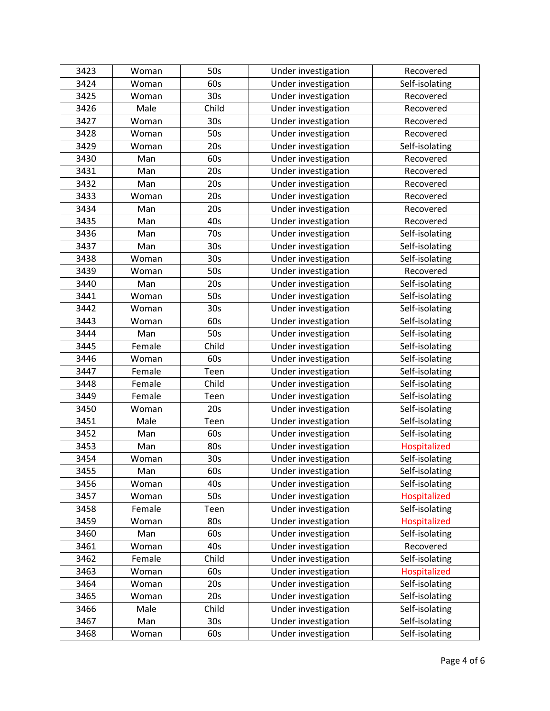| 3423 | Woman  | 50s             | Under investigation | Recovered      |
|------|--------|-----------------|---------------------|----------------|
| 3424 | Woman  | 60s             | Under investigation | Self-isolating |
| 3425 | Woman  | 30 <sub>s</sub> | Under investigation | Recovered      |
| 3426 | Male   | Child           | Under investigation | Recovered      |
| 3427 | Woman  | 30 <sub>s</sub> | Under investigation | Recovered      |
| 3428 | Woman  | 50s             | Under investigation | Recovered      |
| 3429 | Woman  | 20s             | Under investigation | Self-isolating |
| 3430 | Man    | 60s             | Under investigation | Recovered      |
| 3431 | Man    | 20s             | Under investigation | Recovered      |
| 3432 | Man    | 20s             | Under investigation | Recovered      |
| 3433 | Woman  | 20s             | Under investigation | Recovered      |
| 3434 | Man    | 20s             | Under investigation | Recovered      |
| 3435 | Man    | 40s             | Under investigation | Recovered      |
| 3436 | Man    | 70s             | Under investigation | Self-isolating |
| 3437 | Man    | 30 <sub>s</sub> | Under investigation | Self-isolating |
| 3438 | Woman  | 30 <sub>s</sub> | Under investigation | Self-isolating |
| 3439 | Woman  | 50s             | Under investigation | Recovered      |
| 3440 | Man    | 20s             | Under investigation | Self-isolating |
| 3441 | Woman  | 50s             | Under investigation | Self-isolating |
| 3442 | Woman  | 30 <sub>s</sub> | Under investigation | Self-isolating |
| 3443 | Woman  | 60s             | Under investigation | Self-isolating |
| 3444 | Man    | 50s             | Under investigation | Self-isolating |
| 3445 | Female | Child           | Under investigation | Self-isolating |
| 3446 | Woman  | 60s             | Under investigation | Self-isolating |
| 3447 | Female | Teen            | Under investigation | Self-isolating |
| 3448 | Female | Child           | Under investigation | Self-isolating |
| 3449 | Female | Teen            | Under investigation | Self-isolating |
| 3450 | Woman  | 20s             | Under investigation | Self-isolating |
| 3451 | Male   | Teen            | Under investigation | Self-isolating |
| 3452 | Man    | 60s             | Under investigation | Self-isolating |
| 3453 | Man    | 80s             | Under investigation | Hospitalized   |
| 3454 | Woman  | 30 <sub>s</sub> | Under investigation | Self-isolating |
| 3455 | Man    | 60s             | Under investigation | Self-isolating |
| 3456 | Woman  | 40s             | Under investigation | Self-isolating |
| 3457 | Woman  | 50s             | Under investigation | Hospitalized   |
| 3458 | Female | Teen            | Under investigation | Self-isolating |
| 3459 | Woman  | 80s             | Under investigation | Hospitalized   |
| 3460 | Man    | 60s             | Under investigation | Self-isolating |
| 3461 | Woman  | 40s             | Under investigation | Recovered      |
| 3462 | Female | Child           | Under investigation | Self-isolating |
| 3463 | Woman  | 60s             | Under investigation | Hospitalized   |
| 3464 | Woman  | 20s             | Under investigation | Self-isolating |
| 3465 | Woman  | 20s             | Under investigation | Self-isolating |
| 3466 | Male   | Child           | Under investigation | Self-isolating |
| 3467 | Man    | 30 <sub>s</sub> | Under investigation | Self-isolating |
| 3468 | Woman  | 60s             | Under investigation | Self-isolating |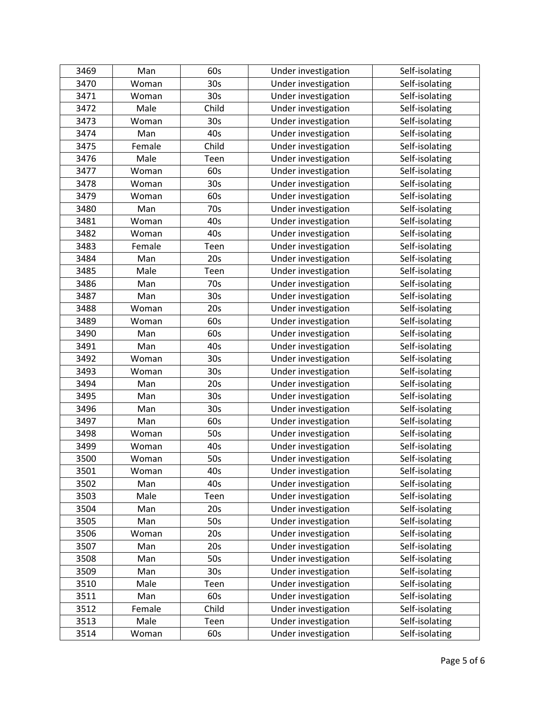| 3469 | Man    | 60s             | Under investigation | Self-isolating |
|------|--------|-----------------|---------------------|----------------|
| 3470 | Woman  | 30 <sub>s</sub> | Under investigation | Self-isolating |
| 3471 | Woman  | 30s             | Under investigation | Self-isolating |
| 3472 | Male   | Child           | Under investigation | Self-isolating |
| 3473 | Woman  | 30s             | Under investigation | Self-isolating |
| 3474 | Man    | 40s             | Under investigation | Self-isolating |
| 3475 | Female | Child           | Under investigation | Self-isolating |
| 3476 | Male   | Teen            | Under investigation | Self-isolating |
| 3477 | Woman  | 60s             | Under investigation | Self-isolating |
| 3478 | Woman  | 30s             | Under investigation | Self-isolating |
| 3479 | Woman  | 60s             | Under investigation | Self-isolating |
| 3480 | Man    | 70s             | Under investigation | Self-isolating |
| 3481 | Woman  | 40s             | Under investigation | Self-isolating |
| 3482 | Woman  | 40s             | Under investigation | Self-isolating |
| 3483 | Female | Teen            | Under investigation | Self-isolating |
| 3484 | Man    | 20s             | Under investigation | Self-isolating |
| 3485 | Male   | Teen            | Under investigation | Self-isolating |
| 3486 | Man    | 70s             | Under investigation | Self-isolating |
| 3487 | Man    | 30s             | Under investigation | Self-isolating |
| 3488 | Woman  | 20s             | Under investigation | Self-isolating |
| 3489 | Woman  | 60s             | Under investigation | Self-isolating |
| 3490 | Man    | 60s             | Under investigation | Self-isolating |
| 3491 | Man    | 40s             | Under investigation | Self-isolating |
| 3492 | Woman  | 30s             | Under investigation | Self-isolating |
| 3493 | Woman  | 30 <sub>s</sub> | Under investigation | Self-isolating |
| 3494 | Man    | 20s             | Under investigation | Self-isolating |
| 3495 | Man    | 30 <sub>s</sub> | Under investigation | Self-isolating |
| 3496 | Man    | 30 <sub>s</sub> | Under investigation | Self-isolating |
| 3497 | Man    | 60s             | Under investigation | Self-isolating |
| 3498 | Woman  | 50s             | Under investigation | Self-isolating |
| 3499 | Woman  | 40s             | Under investigation | Self-isolating |
| 3500 | Woman  | 50s             | Under investigation | Self-isolating |
| 3501 | Woman  | 40s             | Under investigation | Self-isolating |
| 3502 | Man    | 40s             | Under investigation | Self-isolating |
| 3503 | Male   | Teen            | Under investigation | Self-isolating |
| 3504 | Man    | 20s             | Under investigation | Self-isolating |
| 3505 | Man    | 50s             | Under investigation | Self-isolating |
| 3506 | Woman  | 20s             | Under investigation | Self-isolating |
| 3507 | Man    | 20s             | Under investigation | Self-isolating |
| 3508 | Man    | 50s             | Under investigation | Self-isolating |
| 3509 | Man    | 30 <sub>s</sub> | Under investigation | Self-isolating |
| 3510 | Male   | Teen            | Under investigation | Self-isolating |
| 3511 | Man    | 60s             | Under investigation | Self-isolating |
| 3512 | Female | Child           | Under investigation | Self-isolating |
| 3513 | Male   | Teen            | Under investigation | Self-isolating |
| 3514 | Woman  | 60s             | Under investigation | Self-isolating |